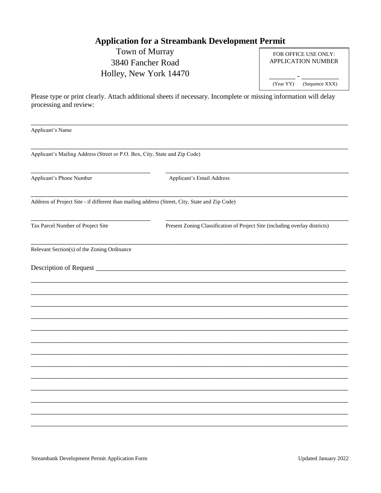# **Application for a Streambank Development Permit**

Town of Murray 3840 Fancher Road Holley, New York 14470

|           | FOR OFFICE USE ONLY:<br><b>APPLICATION NUMBER</b> |
|-----------|---------------------------------------------------|
| (Year YY) | (Sequence XXX)                                    |

Please type or print clearly. Attach additional sheets if necessary. Incomplete or missing information will delay processing and review:

| Applicant's Name                                                                               |                                                                             |  |  |  |
|------------------------------------------------------------------------------------------------|-----------------------------------------------------------------------------|--|--|--|
| Applicant's Mailing Address (Street or P.O. Box, City, State and Zip Code)                     |                                                                             |  |  |  |
| Applicant's Phone Number                                                                       | Applicant's Email Address                                                   |  |  |  |
| Address of Project Site - if different than mailing address (Street, City, State and Zip Code) |                                                                             |  |  |  |
| Tax Parcel Number of Project Site                                                              | Present Zoning Classification of Project Site (including overlay districts) |  |  |  |
| Relevant Section(s) of the Zoning Ordinance                                                    |                                                                             |  |  |  |
|                                                                                                |                                                                             |  |  |  |
|                                                                                                |                                                                             |  |  |  |
|                                                                                                |                                                                             |  |  |  |
|                                                                                                |                                                                             |  |  |  |
|                                                                                                |                                                                             |  |  |  |
|                                                                                                |                                                                             |  |  |  |
|                                                                                                |                                                                             |  |  |  |
|                                                                                                |                                                                             |  |  |  |
|                                                                                                |                                                                             |  |  |  |
|                                                                                                |                                                                             |  |  |  |
|                                                                                                |                                                                             |  |  |  |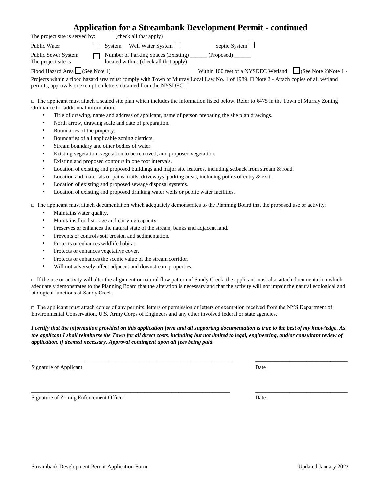### **Application for a Streambank Development Permit - continued**

| The project site is served by:             |  | (check all that apply) |                                                                               |                                     |                     |
|--------------------------------------------|--|------------------------|-------------------------------------------------------------------------------|-------------------------------------|---------------------|
| Public Water                               |  |                        | System Well Water System                                                      | Septic System                       |                     |
| Public Sewer System<br>The project site is |  |                        | Number of Parking Spaces (Existing)<br>located within: (check all that apply) | (Proposed)                          |                     |
| Flood Hazard Area $\Box$ (See Note 1)      |  |                        |                                                                               | Within 100 feet of a NYSDEC Wetland | See Note 2)Note 1 - |

Projects within a flood hazard area must comply with Town of Murray Local Law No. 1 of 1989.  $\Box$  Note 2 - Attach copies of all wetland permits, approvals or exemption letters obtained from the NYSDEC.

 $\Box$  The applicant must attach a scaled site plan which includes the information listed below. Refer to §475 in the Town of Murray Zoning Ordinance for additional information.

- Title of drawing, name and address of applicant, name of person preparing the site plan drawings.
- North arrow, drawing scale and date of preparation.
- Boundaries of the property.
- Boundaries of all applicable zoning districts.
- Stream boundary and other bodies of water.
- Existing vegetation, vegetation to be removed, and proposed vegetation.
- Existing and proposed contours in one foot intervals.
- Location of existing and proposed buildings and major site features, including setback from stream & road.
- Location and materials of paths, trails, driveways, parking areas, including points of entry & exit.
- Location of existing and proposed sewage disposal systems.
- Location of existing and proposed drinking water wells or public water facilities.

 $\Box$  The applicant must attach documentation which adequately demonstrates to the Planning Board that the proposed use or activity:

- Maintains water quality.
- Maintains flood storage and carrying capacity.
- Preserves or enhances the natural state of the stream, banks and adjacent land.
- Prevents or controls soil erosion and sedimentation.
- Protects or enhances wildlife habitat.
- Protects or enhances vegetative cover.
- Protects or enhances the scenic value of the stream corridor.
- Will not adversely affect adjacent and downstream properties.

 $\Box$  If the use or activity will alter the alignment or natural flow pattern of Sandy Creek, the applicant must also attach documentation which adequately demonstrates to the Planning Board that the alteration is necessary and that the activity will not impair the natural ecological and biological functions of Sandy Creek.

 $\Box$  The applicant must attach copies of any permits, letters of permission or letters of exemption received from the NYS Department of Environmental Conservation, U.S. Army Corps of Engineers and any other involved federal or state agencies.

#### *I certify that the information provided on this application form and all supporting documentation is true to the best of my knowledge*. *As the applicant I shall reimburse the Town for all direct costs, including but not limited to legal, engineering, and/or consultant review of application, if deemed necessary. Approval contingent upon all fees being paid.*

\_\_\_\_\_\_\_\_\_\_\_\_\_\_\_\_\_\_\_\_\_\_\_\_\_\_\_\_\_\_\_\_\_\_\_\_\_\_\_\_\_\_\_\_\_\_\_\_\_\_\_\_\_\_\_\_\_\_ \_\_\_\_\_\_\_\_\_\_\_\_\_\_\_\_\_\_\_\_\_\_\_\_\_\_\_

\_\_\_\_\_\_\_\_\_\_\_\_\_\_\_\_\_\_\_\_\_\_\_\_\_\_\_\_\_\_\_\_\_\_\_\_\_\_\_\_\_\_\_\_\_\_\_\_\_\_\_\_\_\_\_\_\_\_ \_\_\_\_\_\_\_\_\_\_\_\_\_\_\_\_\_\_\_\_\_\_\_\_\_\_\_

Signature of Applicant Date

Signature of Zoning Enforcement Officer Date Date Date Date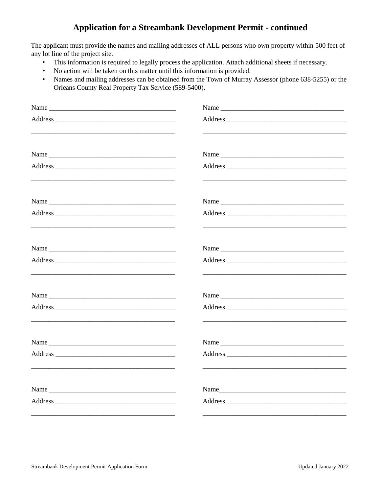## **Application for a Streambank Development Permit - continued**

The applicant must provide the names and mailing addresses of ALL persons who own property within 500 feet of any lot line of the project site.

- This information is required to legally process the application. Attach additional sheets if necessary.  $\bullet$
- No action will be taken on this matter until this information is provided.  $\bullet$
- Names and mailing addresses can be obtained from the Town of Murray Assessor (phone 638-5255) or the  $\bullet$ Orleans County Real Property Tax Service (589-5400).

| Name                                                                                                                  |                                                                                                                       |
|-----------------------------------------------------------------------------------------------------------------------|-----------------------------------------------------------------------------------------------------------------------|
|                                                                                                                       | <u> 2000 - Jan James James Barnett, amerikansk politik (d. 1980)</u>                                                  |
|                                                                                                                       |                                                                                                                       |
|                                                                                                                       |                                                                                                                       |
| Name                                                                                                                  | Name                                                                                                                  |
|                                                                                                                       |                                                                                                                       |
|                                                                                                                       | Name                                                                                                                  |
| <u> 1989 - John Stoff, deutscher Stoff, der Stoff, der Stoff, der Stoff, der Stoff, der Stoff, der Stoff, der Sto</u> |                                                                                                                       |
|                                                                                                                       |                                                                                                                       |
|                                                                                                                       | <u> 1989 - Johann Stoff, deutscher Stoff, der Stoff, der Stoff, der Stoff, der Stoff, der Stoff, der Stoff, der S</u> |
|                                                                                                                       |                                                                                                                       |
| <u> 1989 - Johann John Stone, meil er format fan de ferske fan de ferske fan de ferske fan de ferske fan de fers</u>  |                                                                                                                       |
|                                                                                                                       |                                                                                                                       |
|                                                                                                                       |                                                                                                                       |